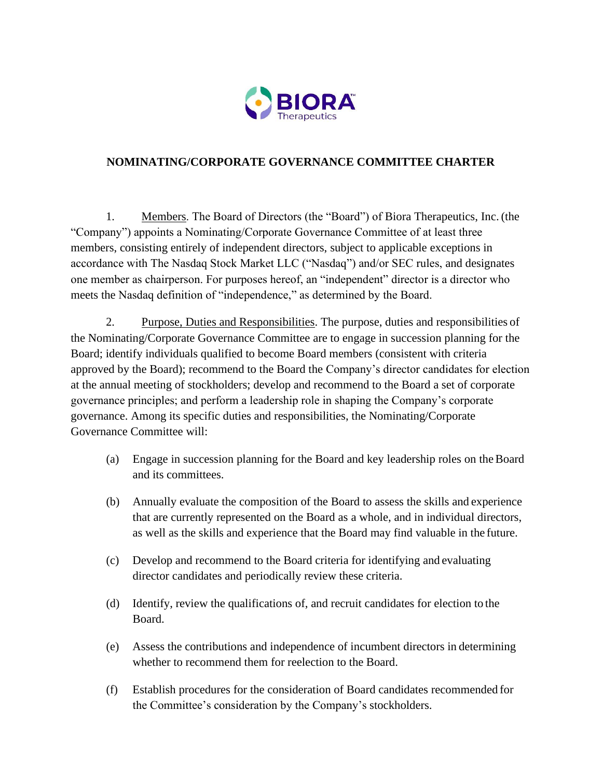

## **NOMINATING/CORPORATE GOVERNANCE COMMITTEE CHARTER**

1. Members. The Board of Directors (the "Board") of Biora Therapeutics, Inc. (the "Company") appoints a Nominating/Corporate Governance Committee of at least three members, consisting entirely of independent directors, subject to applicable exceptions in accordance with The Nasdaq Stock Market LLC ("Nasdaq") and/or SEC rules, and designates one member as chairperson. For purposes hereof, an "independent" director is a director who meets the Nasdaq definition of "independence," as determined by the Board.

2. Purpose, Duties and Responsibilities. The purpose, duties and responsibilities of the Nominating/Corporate Governance Committee are to engage in succession planning for the Board; identify individuals qualified to become Board members (consistent with criteria approved by the Board); recommend to the Board the Company's director candidates for election at the annual meeting of stockholders; develop and recommend to the Board a set of corporate governance principles; and perform a leadership role in shaping the Company's corporate governance. Among its specific duties and responsibilities, the Nominating/Corporate Governance Committee will:

- (a) Engage in succession planning for the Board and key leadership roles on theBoard and its committees.
- (b) Annually evaluate the composition of the Board to assess the skills and experience that are currently represented on the Board as a whole, and in individual directors, as well as the skills and experience that the Board may find valuable in the future.
- (c) Develop and recommend to the Board criteria for identifying and evaluating director candidates and periodically review these criteria.
- (d) Identify, review the qualifications of, and recruit candidates for election to the Board.
- (e) Assess the contributions and independence of incumbent directors in determining whether to recommend them for reelection to the Board.
- (f) Establish procedures for the consideration of Board candidates recommended for the Committee's consideration by the Company's stockholders.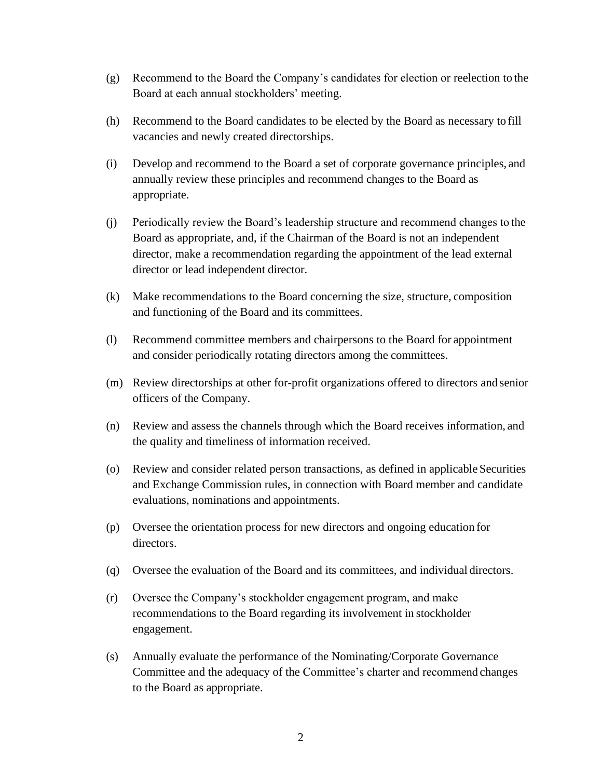- (g) Recommend to the Board the Company's candidates for election or reelection to the Board at each annual stockholders' meeting.
- (h) Recommend to the Board candidates to be elected by the Board as necessary to fill vacancies and newly created directorships.
- (i) Develop and recommend to the Board a set of corporate governance principles, and annually review these principles and recommend changes to the Board as appropriate.
- (j) Periodically review the Board's leadership structure and recommend changes to the Board as appropriate, and, if the Chairman of the Board is not an independent director, make a recommendation regarding the appointment of the lead external director or lead independent director.
- (k) Make recommendations to the Board concerning the size, structure, composition and functioning of the Board and its committees.
- (l) Recommend committee members and chairpersons to the Board for appointment and consider periodically rotating directors among the committees.
- (m) Review directorships at other for-profit organizations offered to directors and senior officers of the Company.
- (n) Review and assess the channels through which the Board receives information, and the quality and timeliness of information received.
- (o) Review and consider related person transactions, as defined in applicable Securities and Exchange Commission rules, in connection with Board member and candidate evaluations, nominations and appointments.
- (p) Oversee the orientation process for new directors and ongoing education for directors.
- (q) Oversee the evaluation of the Board and its committees, and individual directors.
- (r) Oversee the Company's stockholder engagement program, and make recommendations to the Board regarding its involvement in stockholder engagement.
- (s) Annually evaluate the performance of the Nominating/Corporate Governance Committee and the adequacy of the Committee's charter and recommend changes to the Board as appropriate.